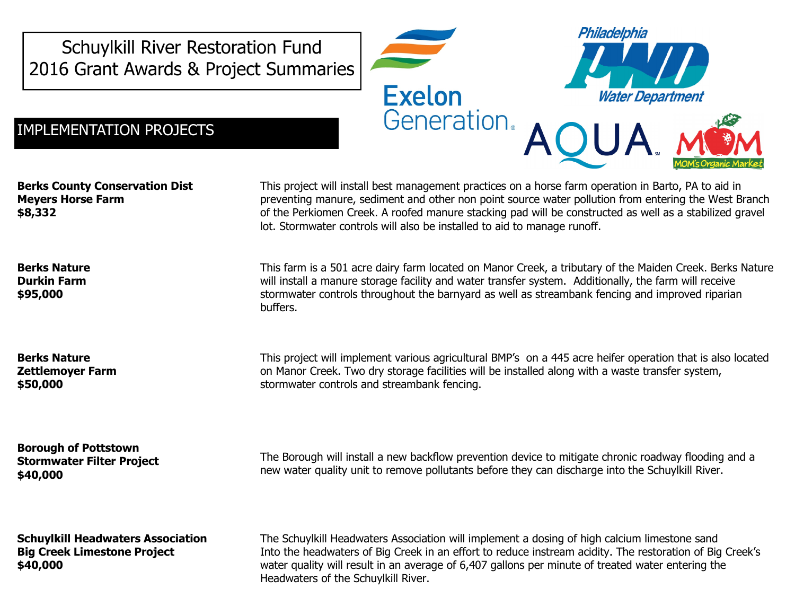Schuylkill River Restoration Fund 2016 Grant Awards & Project Summaries



Berks County Conservation Dist Meyers Horse Farm \$8,332

Berks Nature Durkin Farm \$95,000

Berks Nature Zettlemoyer Farm \$50,000

Borough of Pottstown Stormwater Filter Project \$40,000

Schuylkill Headwaters Association Big Creek Limestone Project \$40,000

This project will install best management practices on a horse farm operation in Barto, PA to aid in preventing manure, sediment and other non point source water pollution from entering the West Branch of the Perkiomen Creek. A roofed manure stacking pad will be constructed as well as a stabilized gravel lot. Stormwater controls will also be installed to aid to manage runoff.

Philadelphia

**Water Department** 

This farm is a 501 acre dairy farm located on Manor Creek, a tributary of the Maiden Creek. Berks Nature will install a manure storage facility and water transfer system. Additionally, the farm will receive stormwater controls throughout the barnyard as well as streambank fencing and improved riparian buffers.

This project will implement various agricultural BMP's on a 445 acre heifer operation that is also located on Manor Creek. Two dry storage facilities will be installed along with a waste transfer system, stormwater controls and streambank fencing.

The Borough will install a new backflow prevention device to mitigate chronic roadway flooding and a new water quality unit to remove pollutants before they can discharge into the Schuylkill River.

The Schuylkill Headwaters Association will implement a dosing of high calcium limestone sand Into the headwaters of Big Creek in an effort to reduce instream acidity. The restoration of Big Creek's water quality will result in an average of 6,407 gallons per minute of treated water entering the Headwaters of the Schuylkill River.